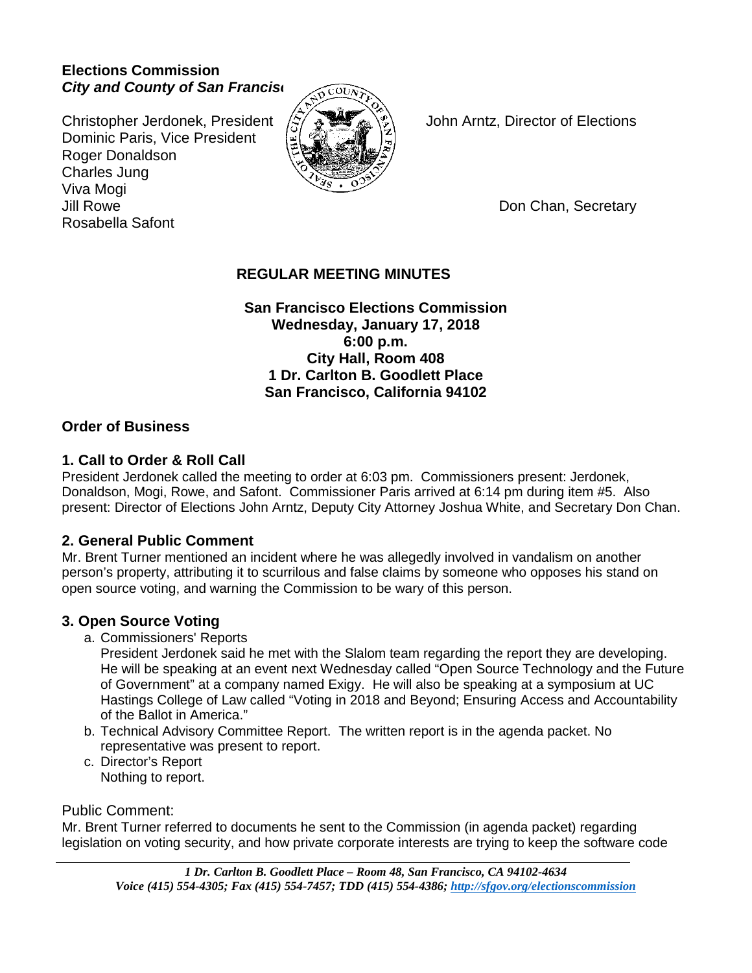## **Elections Commission** *City and County of San Franciso*

Christopher Jerdonek, President  $\langle \frac{1}{2} \rangle$   $\oplus \blacksquare$   $\langle \frac{1}{2} \rangle$  John Arntz, Director of Elections Dominic Paris, Vice President Roger Donaldson Charles Jung Viva Mogi Jill Rowe Don Chan, Secretary Rosabella Safont



# **REGULAR MEETING MINUTES**

**San Francisco Elections Commission Wednesday, January 17, 2018 6:00 p.m. City Hall, Room 408 1 Dr. Carlton B. Goodlett Place San Francisco, California 94102**

## **Order of Business**

## **1. Call to Order & Roll Call**

President Jerdonek called the meeting to order at 6:03 pm. Commissioners present: Jerdonek, Donaldson, Mogi, Rowe, and Safont. Commissioner Paris arrived at 6:14 pm during item #5. Also present: Director of Elections John Arntz, Deputy City Attorney Joshua White, and Secretary Don Chan.

# **2. General Public Comment**

Mr. Brent Turner mentioned an incident where he was allegedly involved in vandalism on another person's property, attributing it to scurrilous and false claims by someone who opposes his stand on open source voting, and warning the Commission to be wary of this person.

# **3. Open Source Voting**

a. Commissioners' Reports

President Jerdonek said he met with the Slalom team regarding the report they are developing. He will be speaking at an event next Wednesday called "Open Source Technology and the Future of Government" at a company named Exigy. He will also be speaking at a symposium at UC Hastings College of Law called "Voting in 2018 and Beyond; Ensuring Access and Accountability of the Ballot in America."

- b. Technical Advisory Committee Report. The written report is in the agenda packet. No representative was present to report.
- c. Director's Report Nothing to report.

## Public Comment:

Mr. Brent Turner referred to documents he sent to the Commission (in agenda packet) regarding legislation on voting security, and how private corporate interests are trying to keep the software code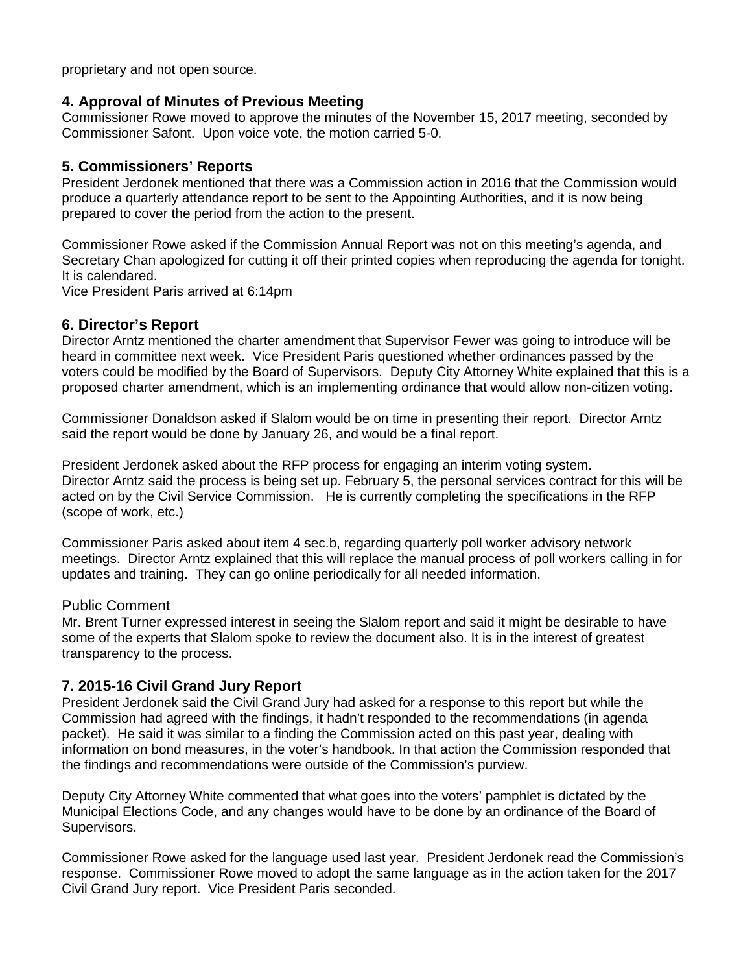proprietary and not open source.

#### **4. Approval of Minutes of Previous Meeting**

Commissioner Rowe moved to approve the minutes of the November 15, 2017 meeting, seconded by Commissioner Safont. Upon voice vote, the motion carried 5-0.

#### **5. Commissioners' Reports**

President Jerdonek mentioned that there was a Commission action in 2016 that the Commission would produce a quarterly attendance report to be sent to the Appointing Authorities, and it is now being prepared to cover the period from the action to the present.

Commissioner Rowe asked if the Commission Annual Report was not on this meeting's agenda, and Secretary Chan apologized for cutting it off their printed copies when reproducing the agenda for tonight. It is calendared.

Vice President Paris arrived at 6:14pm

#### **6. Director's Report**

Director Arntz mentioned the charter amendment that Supervisor Fewer was going to introduce will be heard in committee next week. Vice President Paris questioned whether ordinances passed by the voters could be modified by the Board of Supervisors. Deputy City Attorney White explained that this is a proposed charter amendment, which is an implementing ordinance that would allow non-citizen voting.

Commissioner Donaldson asked if Slalom would be on time in presenting their report. Director Arntz said the report would be done by January 26, and would be a final report.

President Jerdonek asked about the RFP process for engaging an interim voting system. Director Arntz said the process is being set up. February 5, the personal services contract for this will be acted on by the Civil Service Commission. He is currently completing the specifications in the RFP (scope of work, etc.)

Commissioner Paris asked about item 4 sec.b, regarding quarterly poll worker advisory network meetings. Director Arntz explained that this will replace the manual process of poll workers calling in for updates and training. They can go online periodically for all needed information.

#### Public Comment

Mr. Brent Turner expressed interest in seeing the Slalom report and said it might be desirable to have some of the experts that Slalom spoke to review the document also. It is in the interest of greatest transparency to the process.

#### **7. 2015-16 Civil Grand Jury Report**

President Jerdonek said the Civil Grand Jury had asked for a response to this report but while the Commission had agreed with the findings, it hadn't responded to the recommendations (in agenda packet). He said it was similar to a finding the Commission acted on this past year, dealing with information on bond measures, in the voter's handbook. In that action the Commission responded that the findings and recommendations were outside of the Commission's purview.

Deputy City Attorney White commented that what goes into the voters' pamphlet is dictated by the Municipal Elections Code, and any changes would have to be done by an ordinance of the Board of Supervisors.

Commissioner Rowe asked for the language used last year. President Jerdonek read the Commission's response. Commissioner Rowe moved to adopt the same language as in the action taken for the 2017 Civil Grand Jury report. Vice President Paris seconded.